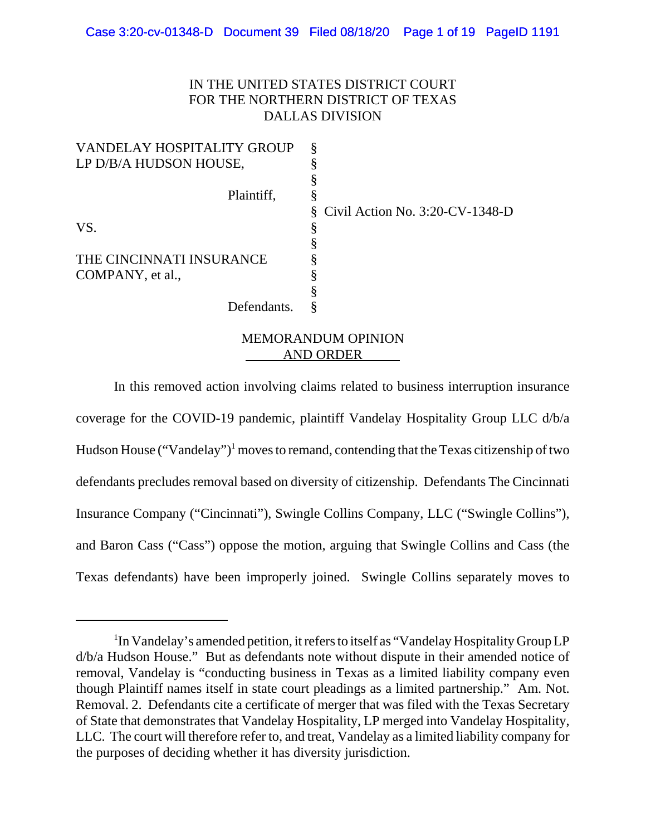### IN THE UNITED STATES DISTRICT COURT FOR THE NORTHERN DISTRICT OF TEXAS DALLAS DIVISION

| $\S$ Civil Action No. 3:20-CV-1348-D |
|--------------------------------------|
| 8                                    |
|                                      |
|                                      |
|                                      |
|                                      |
|                                      |
|                                      |

# MEMORANDUM OPINION AND ORDER

In this removed action involving claims related to business interruption insurance coverage for the COVID-19 pandemic, plaintiff Vandelay Hospitality Group LLC d/b/a Hudson House ("Vandelay")<sup>1</sup> moves to remand, contending that the Texas citizenship of two defendants precludes removal based on diversity of citizenship. Defendants The Cincinnati Insurance Company ("Cincinnati"), Swingle Collins Company, LLC ("Swingle Collins"), and Baron Cass ("Cass") oppose the motion, arguing that Swingle Collins and Cass (the Texas defendants) have been improperly joined. Swingle Collins separately moves to

<sup>&</sup>lt;sup>1</sup>In Vandelay's amended petition, it refers to itself as "Vandelay Hospitality Group LP d/b/a Hudson House." But as defendants note without dispute in their amended notice of removal, Vandelay is "conducting business in Texas as a limited liability company even though Plaintiff names itself in state court pleadings as a limited partnership." Am. Not. Removal. 2. Defendants cite a certificate of merger that was filed with the Texas Secretary of State that demonstrates that Vandelay Hospitality, LP merged into Vandelay Hospitality, LLC. The court will therefore refer to, and treat, Vandelay as a limited liability company for the purposes of deciding whether it has diversity jurisdiction.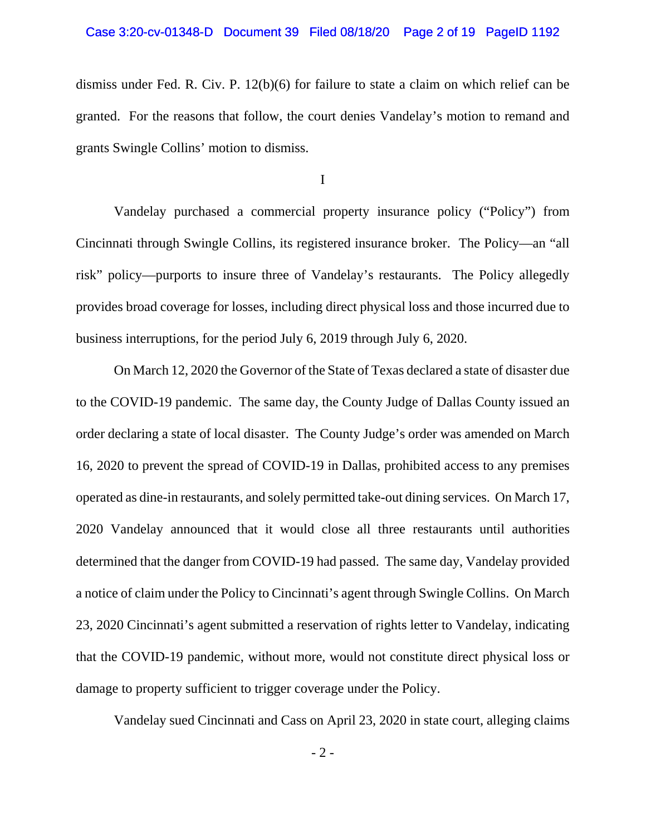dismiss under Fed. R. Civ. P. 12(b)(6) for failure to state a claim on which relief can be granted. For the reasons that follow, the court denies Vandelay's motion to remand and grants Swingle Collins' motion to dismiss.

I

Vandelay purchased a commercial property insurance policy ("Policy") from Cincinnati through Swingle Collins, its registered insurance broker. The Policy—an "all risk" policy—purports to insure three of Vandelay's restaurants. The Policy allegedly provides broad coverage for losses, including direct physical loss and those incurred due to business interruptions, for the period July 6, 2019 through July 6, 2020.

On March 12, 2020 the Governor of the State of Texas declared a state of disaster due to the COVID-19 pandemic. The same day, the County Judge of Dallas County issued an order declaring a state of local disaster. The County Judge's order was amended on March 16, 2020 to prevent the spread of COVID-19 in Dallas, prohibited access to any premises operated as dine-in restaurants, and solely permitted take-out dining services. On March 17, 2020 Vandelay announced that it would close all three restaurants until authorities determined that the danger from COVID-19 had passed. The same day, Vandelay provided a notice of claim under the Policy to Cincinnati's agent through Swingle Collins. On March 23, 2020 Cincinnati's agent submitted a reservation of rights letter to Vandelay, indicating that the COVID-19 pandemic, without more, would not constitute direct physical loss or damage to property sufficient to trigger coverage under the Policy.

Vandelay sued Cincinnati and Cass on April 23, 2020 in state court, alleging claims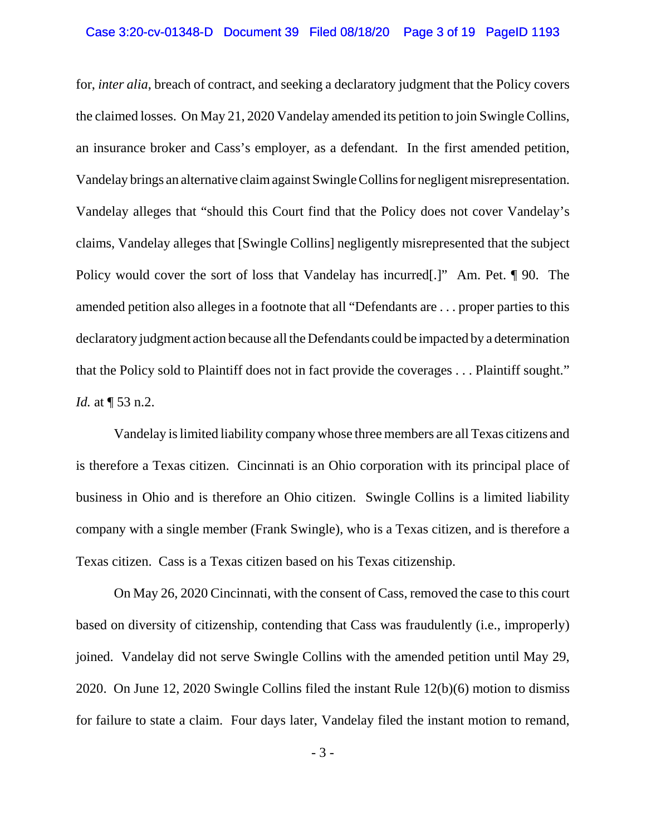### Case 3:20-cv-01348-D Document 39 Filed 08/18/20 Page 3 of 19 PageID 1193

for, *inter alia*, breach of contract, and seeking a declaratory judgment that the Policy covers the claimed losses. On May 21, 2020 Vandelay amended its petition to join Swingle Collins, an insurance broker and Cass's employer, as a defendant. In the first amended petition, Vandelay brings an alternative claim against Swingle Collins for negligent misrepresentation. Vandelay alleges that "should this Court find that the Policy does not cover Vandelay's claims, Vandelay alleges that [Swingle Collins] negligently misrepresented that the subject Policy would cover the sort of loss that Vandelay has incurred. <sup>"</sup> Am. Pet. 190. The amended petition also alleges in a footnote that all "Defendants are . . . proper parties to this declaratory judgment action because all the Defendants could be impacted by a determination that the Policy sold to Plaintiff does not in fact provide the coverages . . . Plaintiff sought." *Id.* at  $\P$  53 n.2.

Vandelay is limited liability company whose three members are all Texas citizens and is therefore a Texas citizen. Cincinnati is an Ohio corporation with its principal place of business in Ohio and is therefore an Ohio citizen. Swingle Collins is a limited liability company with a single member (Frank Swingle), who is a Texas citizen, and is therefore a Texas citizen. Cass is a Texas citizen based on his Texas citizenship.

On May 26, 2020 Cincinnati, with the consent of Cass, removed the case to this court based on diversity of citizenship, contending that Cass was fraudulently (i.e., improperly) joined. Vandelay did not serve Swingle Collins with the amended petition until May 29, 2020. On June 12, 2020 Swingle Collins filed the instant Rule 12(b)(6) motion to dismiss for failure to state a claim. Four days later, Vandelay filed the instant motion to remand,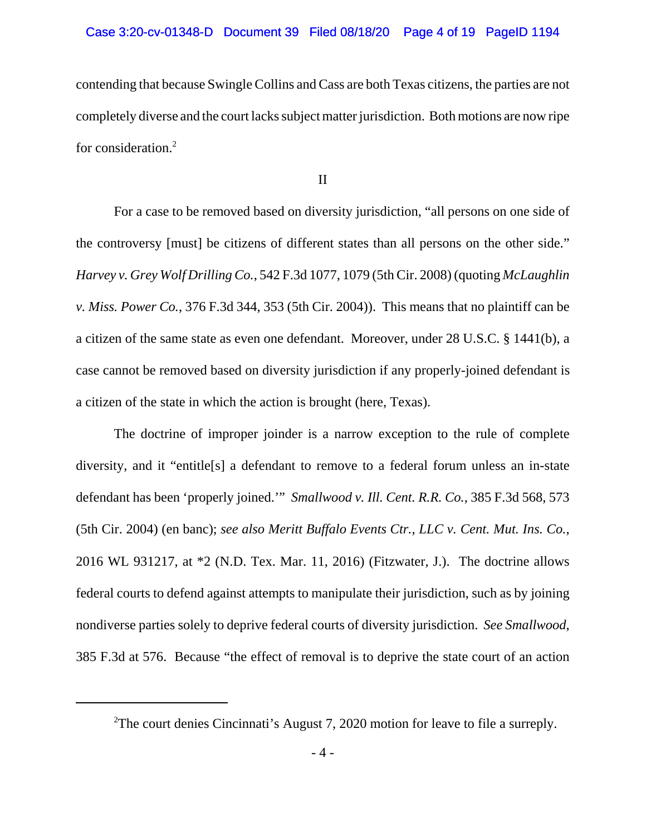contending that because Swingle Collins and Cass are both Texas citizens, the parties are not completely diverse and the court lacks subject matter jurisdiction. Both motions are now ripe for consideration.<sup>2</sup>

II

For a case to be removed based on diversity jurisdiction, "all persons on one side of the controversy [must] be citizens of different states than all persons on the other side." *Harvey v. Grey Wolf Drilling Co.*, 542 F.3d 1077, 1079 (5th Cir. 2008) (quoting *McLaughlin v. Miss. Power Co.*, 376 F.3d 344, 353 (5th Cir. 2004)). This means that no plaintiff can be a citizen of the same state as even one defendant. Moreover, under 28 U.S.C. § 1441(b), a case cannot be removed based on diversity jurisdiction if any properly-joined defendant is a citizen of the state in which the action is brought (here, Texas).

The doctrine of improper joinder is a narrow exception to the rule of complete diversity, and it "entitle[s] a defendant to remove to a federal forum unless an in-state defendant has been 'properly joined.'" *Smallwood v. Ill. Cent. R.R. Co.*, 385 F.3d 568, 573 (5th Cir. 2004) (en banc); *see also Meritt Buffalo Events Ctr., LLC v. Cent. Mut. Ins. Co.*, 2016 WL 931217, at \*2 (N.D. Tex. Mar. 11, 2016) (Fitzwater, J.). The doctrine allows federal courts to defend against attempts to manipulate their jurisdiction, such as by joining nondiverse parties solely to deprive federal courts of diversity jurisdiction. *See Smallwood*, 385 F.3d at 576. Because "the effect of removal is to deprive the state court of an action

<sup>&</sup>lt;sup>2</sup>The court denies Cincinnati's August 7, 2020 motion for leave to file a surreply.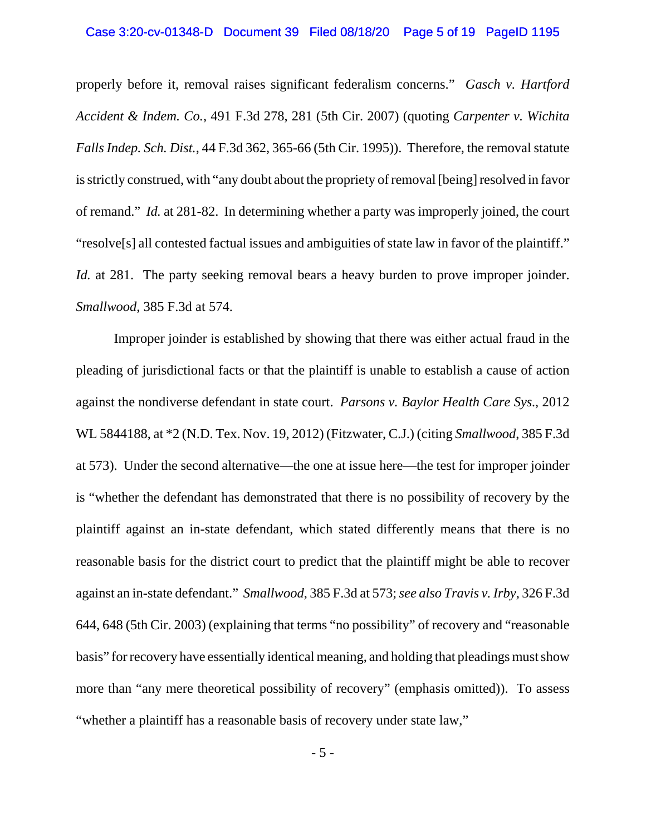#### Case 3:20-cv-01348-D Document 39 Filed 08/18/20 Page 5 of 19 PageID 1195

properly before it, removal raises significant federalism concerns." *Gasch v. Hartford Accident & Indem. Co.*, 491 F.3d 278, 281 (5th Cir. 2007) (quoting *Carpenter v. Wichita Falls Indep. Sch. Dist.*, 44 F.3d 362, 365-66 (5th Cir. 1995)). Therefore, the removal statute is strictly construed, with "any doubt about the propriety of removal [being] resolved in favor of remand." *Id.* at 281-82. In determining whether a party was improperly joined, the court "resolve[s] all contested factual issues and ambiguities of state law in favor of the plaintiff." *Id.* at 281. The party seeking removal bears a heavy burden to prove improper joinder. *Smallwood*, 385 F.3d at 574.

Improper joinder is established by showing that there was either actual fraud in the pleading of jurisdictional facts or that the plaintiff is unable to establish a cause of action against the nondiverse defendant in state court. *Parsons v. Baylor Health Care Sys.*, 2012 WL 5844188, at \*2 (N.D. Tex. Nov. 19, 2012) (Fitzwater, C.J.) (citing *Smallwood*, 385 F.3d at 573). Under the second alternative—the one at issue here—the test for improper joinder is "whether the defendant has demonstrated that there is no possibility of recovery by the plaintiff against an in-state defendant, which stated differently means that there is no reasonable basis for the district court to predict that the plaintiff might be able to recover against an in-state defendant." *Smallwood*, 385 F.3d at 573; *see also Travis v. Irby*, 326 F.3d 644, 648 (5th Cir. 2003) (explaining that terms "no possibility" of recovery and "reasonable basis" for recovery have essentially identical meaning, and holding that pleadings must show more than "any mere theoretical possibility of recovery" (emphasis omitted)). To assess "whether a plaintiff has a reasonable basis of recovery under state law,"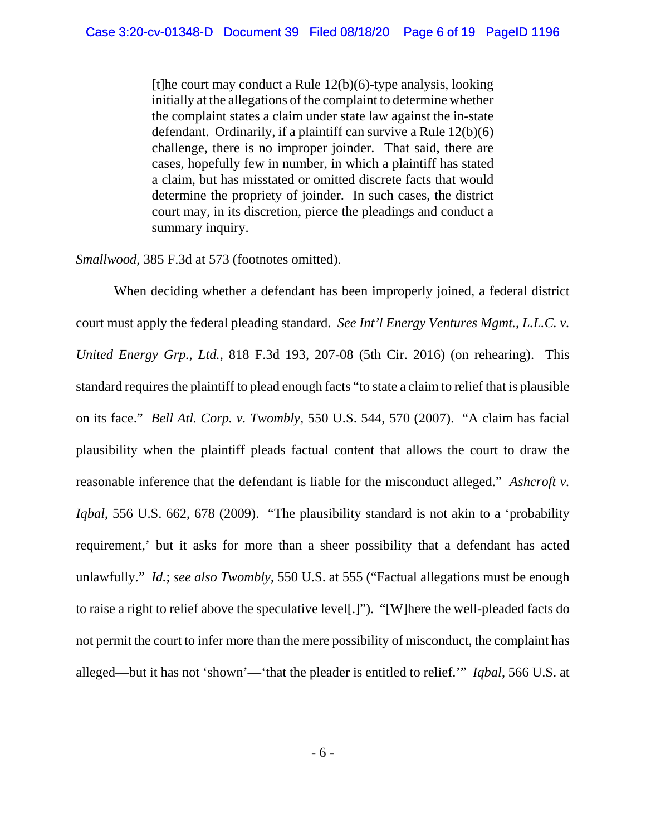[t]he court may conduct a Rule  $12(b)(6)$ -type analysis, looking initially at the allegations of the complaint to determine whether the complaint states a claim under state law against the in-state defendant. Ordinarily, if a plaintiff can survive a Rule 12(b)(6) challenge, there is no improper joinder. That said, there are cases, hopefully few in number, in which a plaintiff has stated a claim, but has misstated or omitted discrete facts that would determine the propriety of joinder. In such cases, the district court may, in its discretion, pierce the pleadings and conduct a summary inquiry.

#### *Smallwood*, 385 F.3d at 573 (footnotes omitted).

When deciding whether a defendant has been improperly joined, a federal district court must apply the federal pleading standard. *See Int'l Energy Ventures Mgmt., L.L.C. v. United Energy Grp., Ltd.*, 818 F.3d 193, 207-08 (5th Cir. 2016) (on rehearing). This standard requires the plaintiff to plead enough facts "to state a claim to relief that is plausible on its face." *Bell Atl. Corp. v. Twombly*, 550 U.S. 544, 570 (2007). "A claim has facial plausibility when the plaintiff pleads factual content that allows the court to draw the reasonable inference that the defendant is liable for the misconduct alleged." *Ashcroft v. Iqbal*, 556 U.S. 662, 678 (2009). "The plausibility standard is not akin to a 'probability requirement,' but it asks for more than a sheer possibility that a defendant has acted unlawfully." *Id.*; *see also Twombly*, 550 U.S. at 555 ("Factual allegations must be enough to raise a right to relief above the speculative level[.]"). "[W]here the well-pleaded facts do not permit the court to infer more than the mere possibility of misconduct, the complaint has alleged—but it has not 'shown'—'that the pleader is entitled to relief.'" *Iqbal*, 566 U.S. at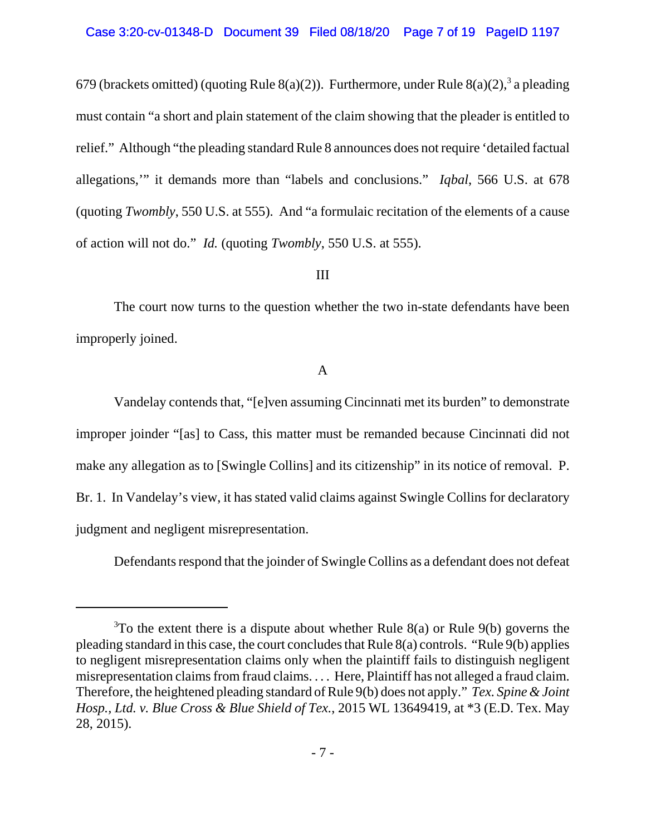679 (brackets omitted) (quoting Rule 8(a)(2)). Furthermore, under Rule 8(a)(2),<sup>3</sup> a pleading must contain "a short and plain statement of the claim showing that the pleader is entitled to relief." Although "the pleading standard Rule 8 announces does not require 'detailed factual allegations,'" it demands more than "labels and conclusions." *Iqbal*, 566 U.S. at 678 (quoting *Twombly*, 550 U.S. at 555). And "a formulaic recitation of the elements of a cause of action will not do." *Id.* (quoting *Twombly*, 550 U.S. at 555).

## III

The court now turns to the question whether the two in-state defendants have been improperly joined.

### A

Vandelay contends that, "[e]ven assuming Cincinnati met its burden" to demonstrate improper joinder "[as] to Cass, this matter must be remanded because Cincinnati did not make any allegation as to [Swingle Collins] and its citizenship" in its notice of removal. P. Br. 1. In Vandelay's view, it has stated valid claims against Swingle Collins for declaratory judgment and negligent misrepresentation.

Defendants respond that the joinder of Swingle Collins as a defendant does not defeat

 $3$ To the extent there is a dispute about whether Rule 8(a) or Rule 9(b) governs the pleading standard in this case, the court concludes that Rule 8(a) controls. "Rule 9(b) applies to negligent misrepresentation claims only when the plaintiff fails to distinguish negligent misrepresentation claims from fraud claims. . . . Here, Plaintiff has not alleged a fraud claim. Therefore, the heightened pleading standard of Rule 9(b) does not apply." *Tex. Spine & Joint Hosp., Ltd. v. Blue Cross & Blue Shield of Tex.*, 2015 WL 13649419, at \*3 (E.D. Tex. May 28, 2015).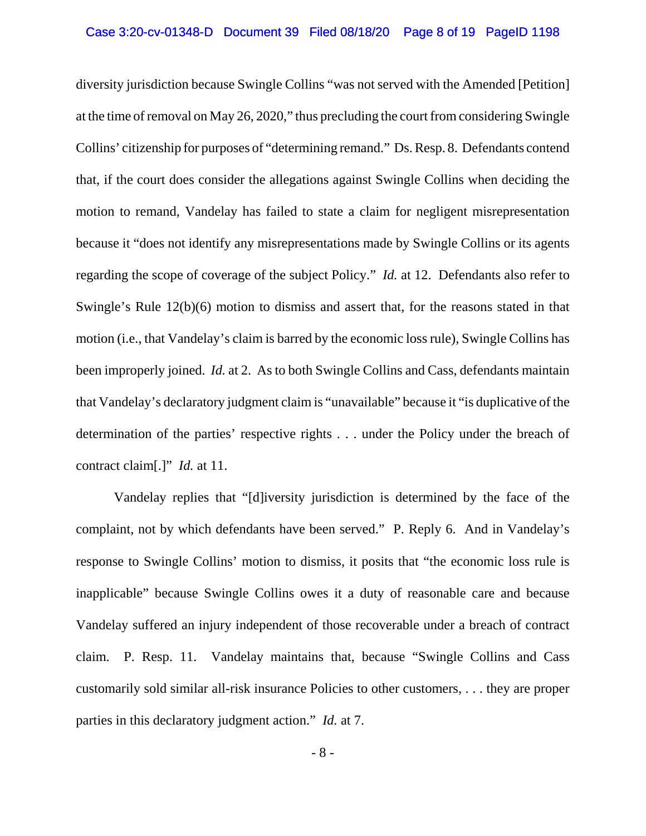diversity jurisdiction because Swingle Collins "was not served with the Amended [Petition] at the time of removal on May 26, 2020," thus precluding the court from considering Swingle Collins' citizenship for purposes of "determining remand." Ds. Resp. 8. Defendants contend that, if the court does consider the allegations against Swingle Collins when deciding the motion to remand, Vandelay has failed to state a claim for negligent misrepresentation because it "does not identify any misrepresentations made by Swingle Collins or its agents regarding the scope of coverage of the subject Policy." *Id.* at 12. Defendants also refer to Swingle's Rule 12(b)(6) motion to dismiss and assert that, for the reasons stated in that motion (i.e., that Vandelay's claim is barred by the economic loss rule), Swingle Collins has been improperly joined. *Id.* at 2. As to both Swingle Collins and Cass, defendants maintain that Vandelay's declaratory judgment claim is "unavailable" because it "is duplicative of the determination of the parties' respective rights . . . under the Policy under the breach of contract claim[.]" *Id.* at 11.

Vandelay replies that "[d]iversity jurisdiction is determined by the face of the complaint, not by which defendants have been served." P. Reply 6. And in Vandelay's response to Swingle Collins' motion to dismiss, it posits that "the economic loss rule is inapplicable" because Swingle Collins owes it a duty of reasonable care and because Vandelay suffered an injury independent of those recoverable under a breach of contract claim. P. Resp. 11. Vandelay maintains that, because "Swingle Collins and Cass customarily sold similar all-risk insurance Policies to other customers, . . . they are proper parties in this declaratory judgment action." *Id.* at 7.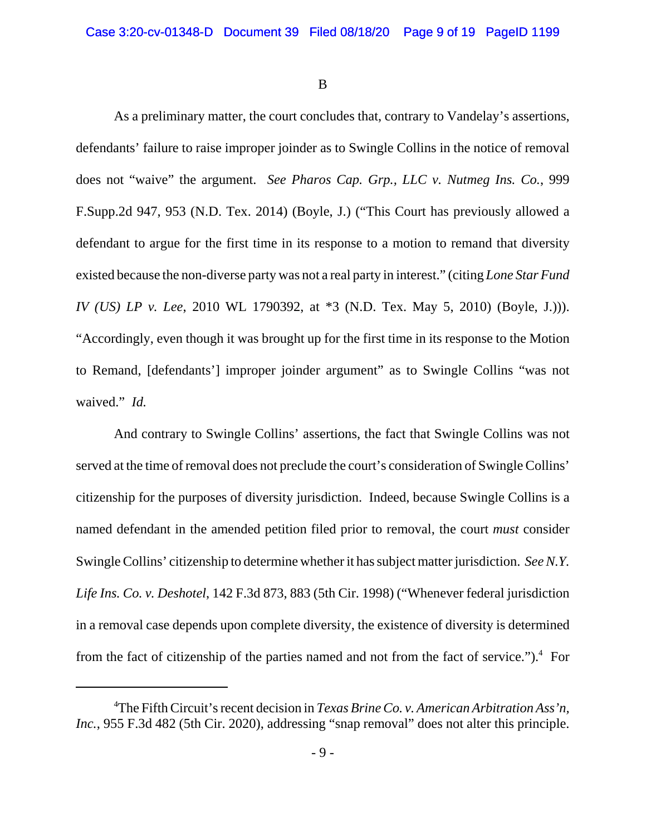B

As a preliminary matter, the court concludes that, contrary to Vandelay's assertions, defendants' failure to raise improper joinder as to Swingle Collins in the notice of removal does not "waive" the argument. *See Pharos Cap. Grp., LLC v. Nutmeg Ins. Co.*, 999 F.Supp.2d 947, 953 (N.D. Tex. 2014) (Boyle, J.) ("This Court has previously allowed a defendant to argue for the first time in its response to a motion to remand that diversity existed because the non-diverse party was not a real party in interest." (citing *Lone Star Fund IV (US) LP v. Lee*, 2010 WL 1790392, at \*3 (N.D. Tex. May 5, 2010) (Boyle, J.))). "Accordingly, even though it was brought up for the first time in its response to the Motion to Remand, [defendants'] improper joinder argument" as to Swingle Collins "was not waived." *Id.*

And contrary to Swingle Collins' assertions, the fact that Swingle Collins was not served at the time of removal does not preclude the court's consideration of Swingle Collins' citizenship for the purposes of diversity jurisdiction. Indeed, because Swingle Collins is a named defendant in the amended petition filed prior to removal, the court *must* consider Swingle Collins' citizenship to determine whether it has subject matter jurisdiction. *SeeN.Y. Life Ins. Co. v. Deshotel*, 142 F.3d 873, 883 (5th Cir. 1998) ("Whenever federal jurisdiction in a removal case depends upon complete diversity, the existence of diversity is determined from the fact of citizenship of the parties named and not from the fact of service." $)$ .<sup>4</sup> For

<sup>4</sup> The Fifth Circuit's recent decision in *Texas Brine Co. v. American Arbitration Ass'n, Inc.*, 955 F.3d 482 (5th Cir. 2020), addressing "snap removal" does not alter this principle.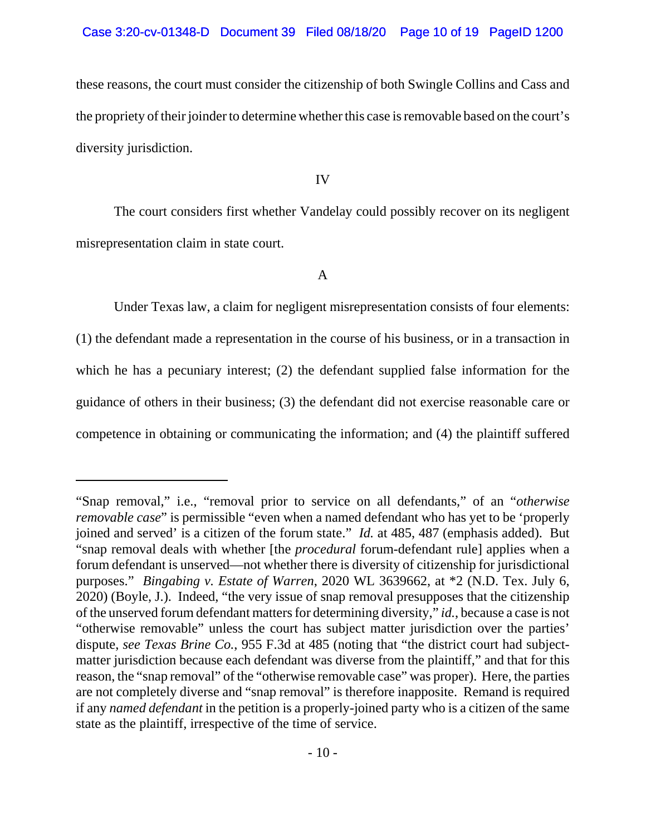these reasons, the court must consider the citizenship of both Swingle Collins and Cass and the propriety of their joinder to determine whether this case is removable based on the court's diversity jurisdiction.

IV

The court considers first whether Vandelay could possibly recover on its negligent misrepresentation claim in state court.

A

Under Texas law, a claim for negligent misrepresentation consists of four elements: (1) the defendant made a representation in the course of his business, or in a transaction in which he has a pecuniary interest; (2) the defendant supplied false information for the guidance of others in their business; (3) the defendant did not exercise reasonable care or competence in obtaining or communicating the information; and (4) the plaintiff suffered

<sup>&</sup>quot;Snap removal," i.e., "removal prior to service on all defendants," of an "*otherwise removable case*" is permissible "even when a named defendant who has yet to be 'properly joined and served' is a citizen of the forum state." *Id.* at 485, 487 (emphasis added). But "snap removal deals with whether [the *procedural* forum-defendant rule] applies when a forum defendant is unserved—not whether there is diversity of citizenship for jurisdictional purposes." *Bingabing v. Estate of Warren*, 2020 WL 3639662, at \*2 (N.D. Tex. July 6, 2020) (Boyle, J.). Indeed, "the very issue of snap removal presupposes that the citizenship of the unserved forum defendant matters for determining diversity," *id.*, because a case is not "otherwise removable" unless the court has subject matter jurisdiction over the parties' dispute, *see Texas Brine Co.*, 955 F.3d at 485 (noting that "the district court had subjectmatter jurisdiction because each defendant was diverse from the plaintiff," and that for this reason, the "snap removal" of the "otherwise removable case" was proper). Here, the parties are not completely diverse and "snap removal" is therefore inapposite. Remand is required if any *named defendant* in the petition is a properly-joined party who is a citizen of the same state as the plaintiff, irrespective of the time of service.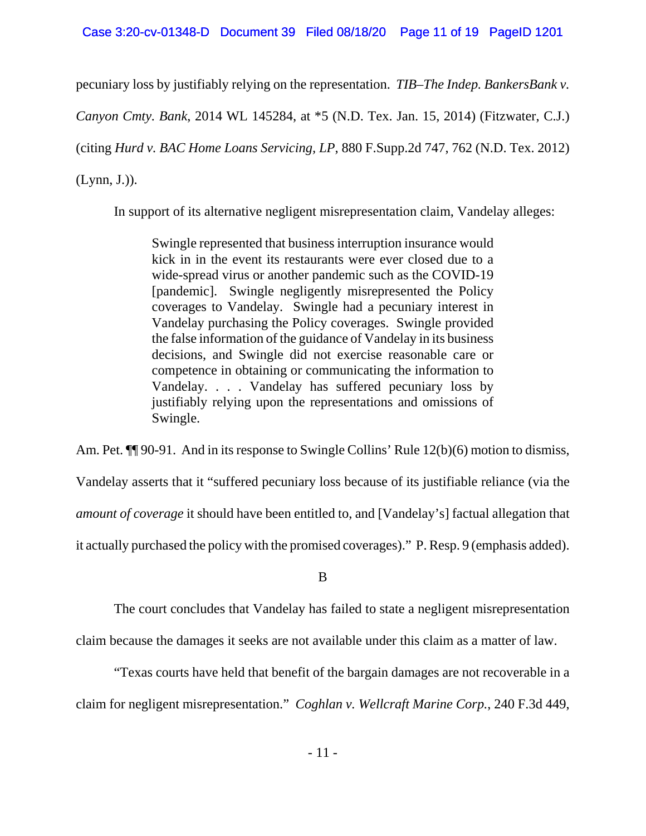Case 3:20-cv-01348-D Document 39 Filed 08/18/20 Page 11 of 19 PageID 1201

pecuniary loss by justifiably relying on the representation. *TIB–The Indep. BankersBank v.*

*Canyon Cmty. Bank*, 2014 WL 145284, at \*5 (N.D. Tex. Jan. 15, 2014) (Fitzwater, C.J.)

(citing *Hurd v. BAC Home Loans Servicing, LP*, 880 F.Supp.2d 747, 762 (N.D. Tex. 2012)

(Lynn, J.)).

In support of its alternative negligent misrepresentation claim, Vandelay alleges:

Swingle represented that business interruption insurance would kick in in the event its restaurants were ever closed due to a wide-spread virus or another pandemic such as the COVID-19 [pandemic]. Swingle negligently misrepresented the Policy coverages to Vandelay. Swingle had a pecuniary interest in Vandelay purchasing the Policy coverages. Swingle provided the false information of the guidance of Vandelay in its business decisions, and Swingle did not exercise reasonable care or competence in obtaining or communicating the information to Vandelay. . . . Vandelay has suffered pecuniary loss by justifiably relying upon the representations and omissions of Swingle.

Am. Pet.  $\P$  90-91. And in its response to Swingle Collins' Rule 12(b)(6) motion to dismiss,

Vandelay asserts that it "suffered pecuniary loss because of its justifiable reliance (via the

*amount of coverage* it should have been entitled to, and [Vandelay's] factual allegation that

it actually purchased the policy with the promised coverages)." P. Resp. 9 (emphasis added).

B

The court concludes that Vandelay has failed to state a negligent misrepresentation

claim because the damages it seeks are not available under this claim as a matter of law.

"Texas courts have held that benefit of the bargain damages are not recoverable in a claim for negligent misrepresentation." *Coghlan v. Wellcraft Marine Corp.*, 240 F.3d 449,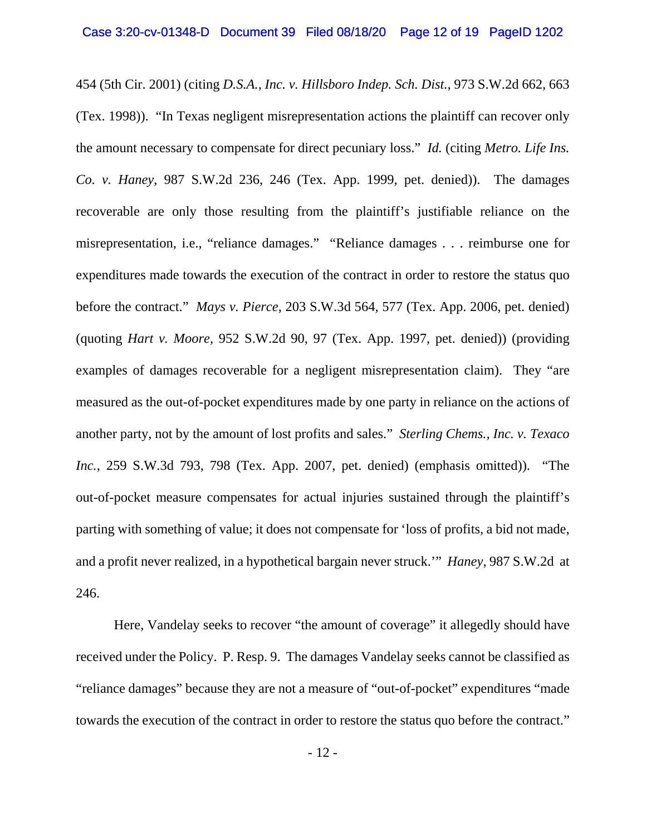454 (5th Cir. 2001) (citing *D.S.A., Inc. v. Hillsboro Indep. Sch. Dist.*, 973 S.W.2d 662, 663 (Tex. 1998)). "In Texas negligent misrepresentation actions the plaintiff can recover only the amount necessary to compensate for direct pecuniary loss." *Id.* (citing *Metro. Life Ins. Co. v. Haney*, 987 S.W.2d 236, 246 (Tex. App. 1999, pet. denied)). The damages recoverable are only those resulting from the plaintiff's justifiable reliance on the misrepresentation, i.e., "reliance damages." "Reliance damages . . . reimburse one for expenditures made towards the execution of the contract in order to restore the status quo before the contract." *Mays v. Pierce*, 203 S.W.3d 564, 577 (Tex. App. 2006, pet. denied) (quoting *Hart v. Moore*, 952 S.W.2d 90, 97 (Tex. App. 1997, pet. denied)) (providing examples of damages recoverable for a negligent misrepresentation claim). They "are measured as the out-of-pocket expenditures made by one party in reliance on the actions of another party, not by the amount of lost profits and sales." *Sterling Chems., Inc. v. Texaco Inc.*, 259 S.W.3d 793, 798 (Tex. App. 2007, pet. denied) (emphasis omitted)). "The out-of-pocket measure compensates for actual injuries sustained through the plaintiff's parting with something of value; it does not compensate for 'loss of profits, a bid not made, and a profit never realized, in a hypothetical bargain never struck.'" *Haney*, 987 S.W.2d at 246.

Here, Vandelay seeks to recover "the amount of coverage" it allegedly should have received under the Policy. P. Resp. 9. The damages Vandelay seeks cannot be classified as "reliance damages" because they are not a measure of "out-of-pocket" expenditures "made towards the execution of the contract in order to restore the status quo before the contract."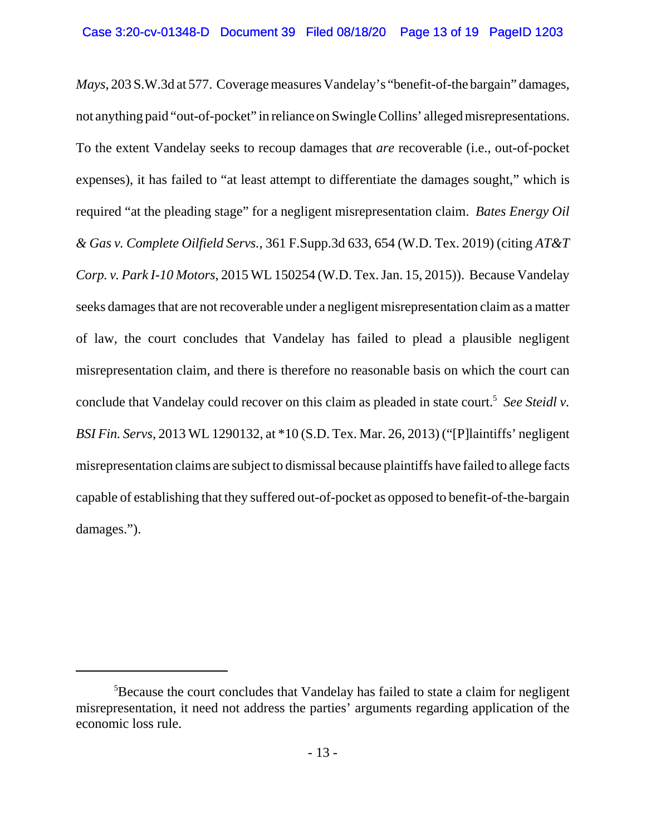*Mays*, 203 S.W.3d at 577. Coverage measures Vandelay's "benefit-of-the bargain" damages, not anything paid "out-of-pocket" in reliance on Swingle Collins' alleged misrepresentations. To the extent Vandelay seeks to recoup damages that *are* recoverable (i.e., out-of-pocket expenses), it has failed to "at least attempt to differentiate the damages sought," which is required "at the pleading stage" for a negligent misrepresentation claim. *Bates Energy Oil & Gas v. Complete Oilfield Servs.*, 361 F.Supp.3d 633, 654 (W.D. Tex. 2019) (citing *AT&T Corp. v. Park I-10 Motors*, 2015 WL 150254 (W.D. Tex. Jan. 15, 2015)). Because Vandelay seeks damages that are not recoverable under a negligent misrepresentation claim as a matter of law, the court concludes that Vandelay has failed to plead a plausible negligent misrepresentation claim, and there is therefore no reasonable basis on which the court can conclude that Vandelay could recover on this claim as pleaded in state court.<sup>5</sup> See Steidl v. *BSI Fin. Servs*, 2013 WL 1290132, at \*10 (S.D. Tex. Mar. 26, 2013) ("[P]laintiffs' negligent misrepresentation claims are subject to dismissal because plaintiffs have failed to allege facts capable of establishing that they suffered out-of-pocket as opposed to benefit-of-the-bargain damages.").

<sup>&</sup>lt;sup>5</sup>Because the court concludes that Vandelay has failed to state a claim for negligent misrepresentation, it need not address the parties' arguments regarding application of the economic loss rule.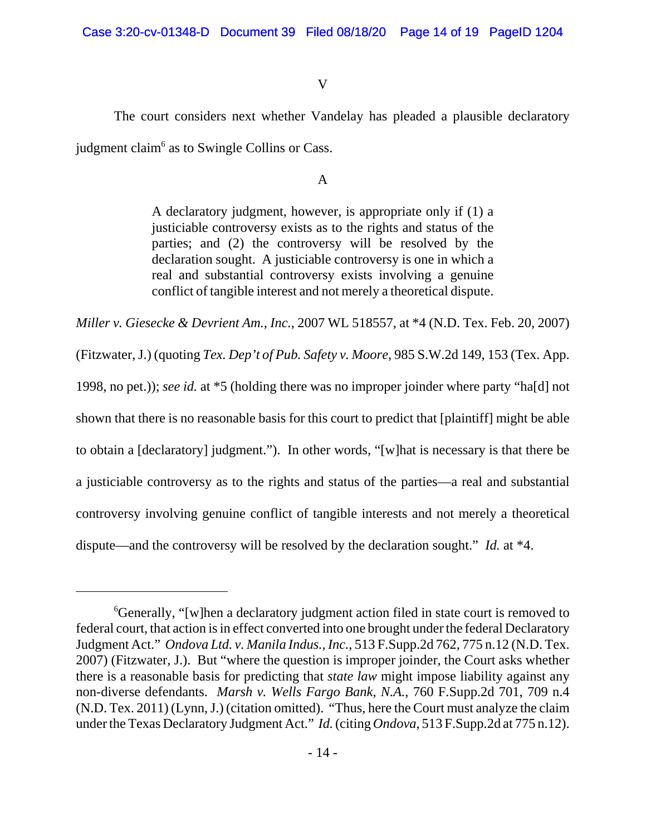# V

The court considers next whether Vandelay has pleaded a plausible declaratory judgment claim<sup>6</sup> as to Swingle Collins or Cass.

### A

A declaratory judgment, however, is appropriate only if (1) a justiciable controversy exists as to the rights and status of the parties; and (2) the controversy will be resolved by the declaration sought. A justiciable controversy is one in which a real and substantial controversy exists involving a genuine conflict of tangible interest and not merely a theoretical dispute.

*Miller v. Giesecke & Devrient Am., Inc.*, 2007 WL 518557, at \*4 (N.D. Tex. Feb. 20, 2007) (Fitzwater, J.) (quoting *Tex. Dep't of Pub. Safety v. Moore*, 985 S.W.2d 149, 153 (Tex. App. 1998, no pet.)); *see id.* at \*5 (holding there was no improper joinder where party "ha[d] not shown that there is no reasonable basis for this court to predict that [plaintiff] might be able to obtain a [declaratory] judgment."). In other words, "[w]hat is necessary is that there be a justiciable controversy as to the rights and status of the parties—a real and substantial controversy involving genuine conflict of tangible interests and not merely a theoretical dispute—and the controversy will be resolved by the declaration sought." *Id.* at \*4.

<sup>&</sup>lt;sup>6</sup>Generally, "[w]hen a declaratory judgment action filed in state court is removed to federal court, that action is in effect converted into one brought under the federal Declaratory Judgment Act." *Ondova Ltd. v. Manila Indus., Inc.*, 513 F.Supp.2d 762, 775 n.12 (N.D. Tex. 2007) (Fitzwater, J.). But "where the question is improper joinder, the Court asks whether there is a reasonable basis for predicting that *state law* might impose liability against any non-diverse defendants. *Marsh v. Wells Fargo Bank, N.A.*, 760 F.Supp.2d 701, 709 n.4 (N.D. Tex. 2011) (Lynn, J.) (citation omitted). "Thus, here the Court must analyze the claim under the Texas Declaratory Judgment Act." *Id.* (citing *Ondova*, 513 F.Supp.2d at 775 n.12).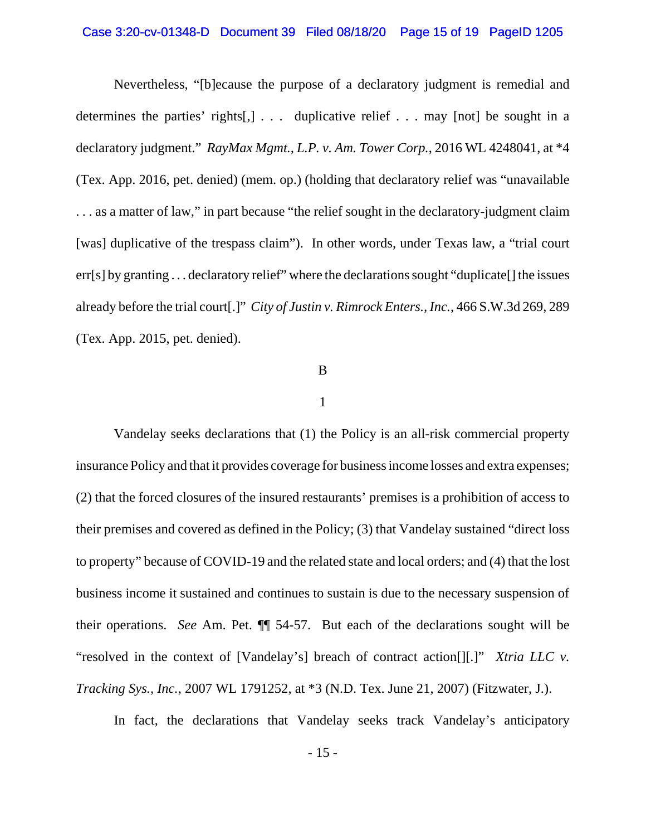### Case 3:20-cv-01348-D Document 39 Filed 08/18/20 Page 15 of 19 PageID 1205

Nevertheless, "[b]ecause the purpose of a declaratory judgment is remedial and determines the parties' rights[,] . . . duplicative relief . . . may [not] be sought in a declaratory judgment." *RayMax Mgmt., L.P. v. Am. Tower Corp.*, 2016 WL 4248041, at \*4 (Tex. App. 2016, pet. denied) (mem. op.) (holding that declaratory relief was "unavailable . . . as a matter of law," in part because "the relief sought in the declaratory-judgment claim [was] duplicative of the trespass claim"). In other words, under Texas law, a "trial court err[s] by granting . . . declaratory relief" where the declarations sought "duplicate[] the issues already before the trial court[.]" *City of Justin v. Rimrock Enters., Inc.*, 466 S.W.3d 269, 289 (Tex. App. 2015, pet. denied).

#### B

### 1

Vandelay seeks declarations that (1) the Policy is an all-risk commercial property insurance Policy and that it provides coverage for business income losses and extra expenses; (2) that the forced closures of the insured restaurants' premises is a prohibition of access to their premises and covered as defined in the Policy; (3) that Vandelay sustained "direct loss to property" because of COVID-19 and the related state and local orders; and (4) that the lost business income it sustained and continues to sustain is due to the necessary suspension of their operations. *See* Am. Pet. ¶¶ 54-57. But each of the declarations sought will be "resolved in the context of [Vandelay's] breach of contract action[][.]" *Xtria LLC v. Tracking Sys., Inc.*, 2007 WL 1791252, at \*3 (N.D. Tex. June 21, 2007) (Fitzwater, J.).

In fact, the declarations that Vandelay seeks track Vandelay's anticipatory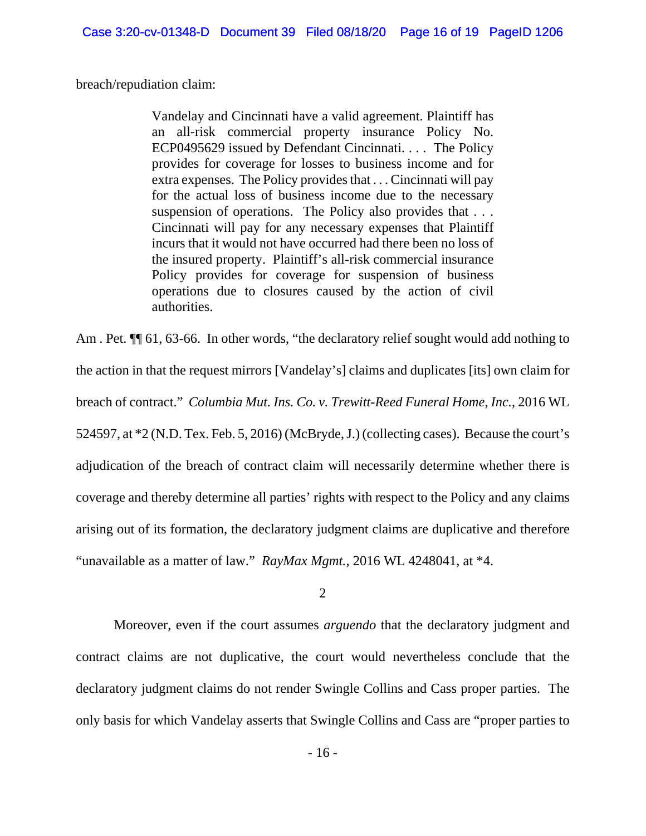breach/repudiation claim:

Vandelay and Cincinnati have a valid agreement. Plaintiff has an all-risk commercial property insurance Policy No. ECP0495629 issued by Defendant Cincinnati. . . . The Policy provides for coverage for losses to business income and for extra expenses. The Policy provides that . . . Cincinnati will pay for the actual loss of business income due to the necessary suspension of operations. The Policy also provides that . . . Cincinnati will pay for any necessary expenses that Plaintiff incurs that it would not have occurred had there been no loss of the insured property. Plaintiff's all-risk commercial insurance Policy provides for coverage for suspension of business operations due to closures caused by the action of civil authorities.

Am . Pet.  $\P$  61, 63-66. In other words, "the declaratory relief sought would add nothing to the action in that the request mirrors [Vandelay's] claims and duplicates [its] own claim for breach of contract." *Columbia Mut. Ins. Co. v. Trewitt-Reed Funeral Home, Inc.*, 2016 WL 524597, at \*2 (N.D. Tex. Feb. 5, 2016) (McBryde, J.) (collecting cases). Because the court's adjudication of the breach of contract claim will necessarily determine whether there is coverage and thereby determine all parties' rights with respect to the Policy and any claims arising out of its formation, the declaratory judgment claims are duplicative and therefore "unavailable as a matter of law." *RayMax Mgmt.*, 2016 WL 4248041, at \*4.

2

Moreover, even if the court assumes *arguendo* that the declaratory judgment and contract claims are not duplicative, the court would nevertheless conclude that the declaratory judgment claims do not render Swingle Collins and Cass proper parties. The only basis for which Vandelay asserts that Swingle Collins and Cass are "proper parties to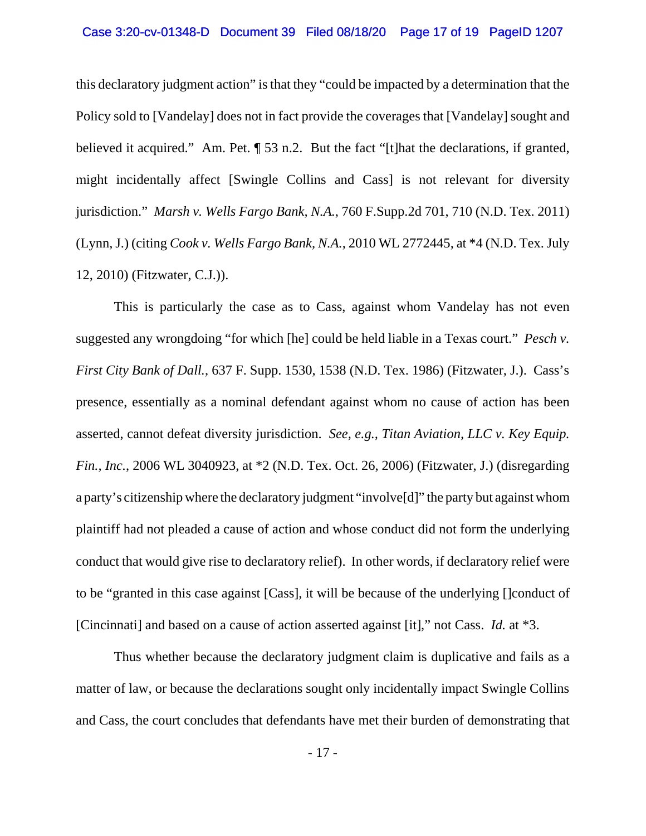### Case 3:20-cv-01348-D Document 39 Filed 08/18/20 Page 17 of 19 PageID 1207

this declaratory judgment action" is that they "could be impacted by a determination that the Policy sold to [Vandelay] does not in fact provide the coverages that [Vandelay] sought and believed it acquired." Am. Pet.  $\sqrt{ }$  53 n.2. But the fact "[t] hat the declarations, if granted, might incidentally affect [Swingle Collins and Cass] is not relevant for diversity jurisdiction." *Marsh v. Wells Fargo Bank, N.A.*, 760 F.Supp.2d 701, 710 (N.D. Tex. 2011) (Lynn, J.) (citing *Cook v. Wells Fargo Bank, N.A.*, 2010 WL 2772445, at \*4 (N.D. Tex. July 12, 2010) (Fitzwater, C.J.)).

This is particularly the case as to Cass, against whom Vandelay has not even suggested any wrongdoing "for which [he] could be held liable in a Texas court." *Pesch v. First City Bank of Dall.*, 637 F. Supp. 1530, 1538 (N.D. Tex. 1986) (Fitzwater, J.). Cass's presence, essentially as a nominal defendant against whom no cause of action has been asserted, cannot defeat diversity jurisdiction. *See, e.g., Titan Aviation, LLC v. Key Equip. Fin., Inc.*, 2006 WL 3040923, at \*2 (N.D. Tex. Oct. 26, 2006) (Fitzwater, J.) (disregarding a party's citizenship where the declaratory judgment "involve[d]" the party but against whom plaintiff had not pleaded a cause of action and whose conduct did not form the underlying conduct that would give rise to declaratory relief). In other words, if declaratory relief were to be "granted in this case against [Cass], it will be because of the underlying []conduct of [Cincinnati] and based on a cause of action asserted against [it]," not Cass. *Id.* at \*3.

Thus whether because the declaratory judgment claim is duplicative and fails as a matter of law, or because the declarations sought only incidentally impact Swingle Collins and Cass, the court concludes that defendants have met their burden of demonstrating that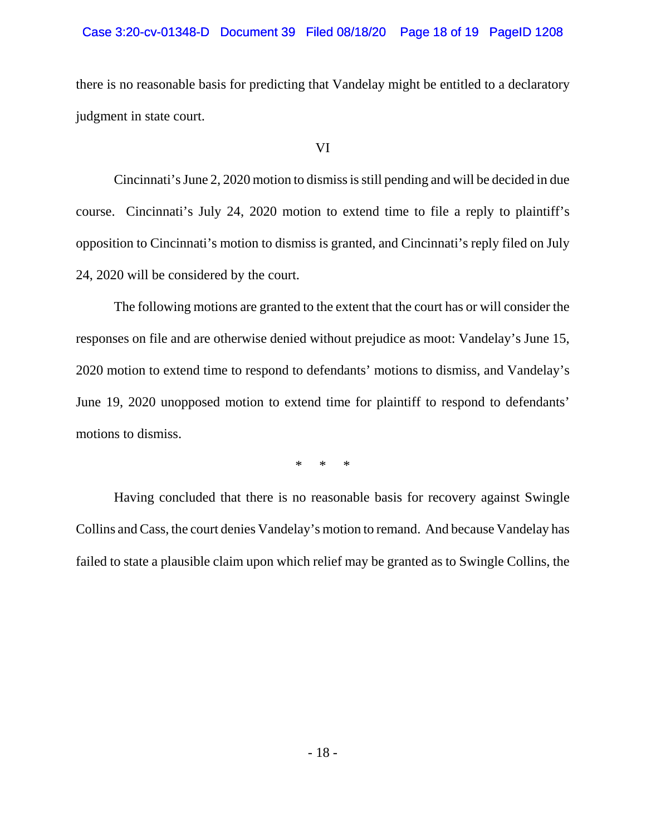### Case 3:20-cv-01348-D Document 39 Filed 08/18/20 Page 18 of 19 PageID 1208

there is no reasonable basis for predicting that Vandelay might be entitled to a declaratory judgment in state court.

### VI

Cincinnati's June 2, 2020 motion to dismiss is still pending and will be decided in due course. Cincinnati's July 24, 2020 motion to extend time to file a reply to plaintiff's opposition to Cincinnati's motion to dismiss is granted, and Cincinnati's reply filed on July 24, 2020 will be considered by the court.

The following motions are granted to the extent that the court has or will consider the responses on file and are otherwise denied without prejudice as moot: Vandelay's June 15, 2020 motion to extend time to respond to defendants' motions to dismiss, and Vandelay's June 19, 2020 unopposed motion to extend time for plaintiff to respond to defendants' motions to dismiss.

\* \* \*

Having concluded that there is no reasonable basis for recovery against Swingle Collins and Cass, the court denies Vandelay's motion to remand. And because Vandelay has failed to state a plausible claim upon which relief may be granted as to Swingle Collins, the